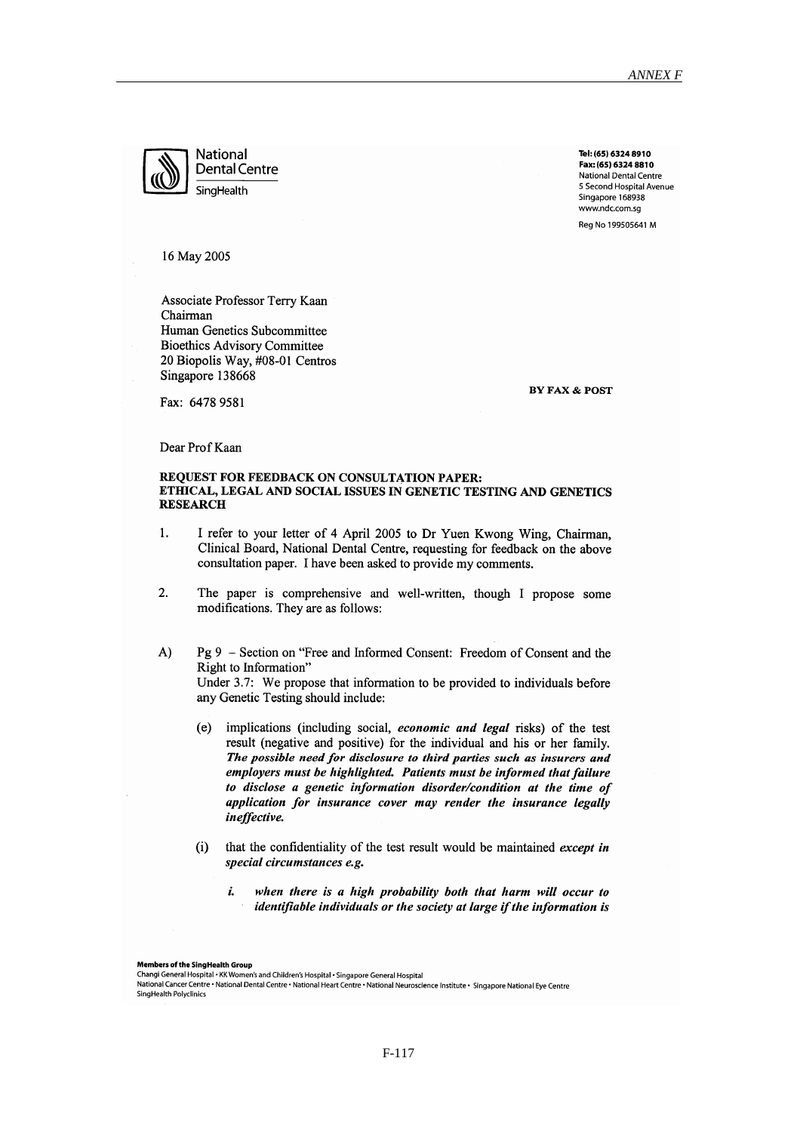

**National Dental Centre** SingHealth

Tel: (65) 6324 8910 Fax: (65) 6324 8810 National Dental Centre 5 Second Hospital Avenue Singapore 168938 www.ndc.com.sa Rea No 199505641 M

16 May 2005

Associate Professor Terry Kaan Chairman Human Genetics Subcommittee **Bioethics Advisory Committee** 20 Biopolis Way, #08-01 Centros Singapore 138668

**BY FAX & POST** 

Fax: 6478 9581

Dear Prof Kaan

#### **REQUEST FOR FEEDBACK ON CONSULTATION PAPER:** ETHICAL, LEGAL AND SOCIAL ISSUES IN GENETIC TESTING AND GENETICS **RESEARCH**

- $\overline{1}$ . I refer to your letter of 4 April 2005 to Dr Yuen Kwong Wing, Chairman, Clinical Board, National Dental Centre, requesting for feedback on the above consultation paper. I have been asked to provide my comments.
- 2. The paper is comprehensive and well-written, though I propose some modifications. They are as follows:
- $A)$ Pg 9 – Section on "Free and Informed Consent: Freedom of Consent and the Right to Information" Under 3.7: We propose that information to be provided to individuals before any Genetic Testing should include:
	- $(e)$ implications (including social, economic and legal risks) of the test result (negative and positive) for the individual and his or her family. The possible need for disclosure to third parties such as insurers and employers must be highlighted. Patients must be informed that failure to disclose a genetic information disorder/condition at the time of application for insurance cover may render the insurance legally ineffective.
	- that the confidentiality of the test result would be maintained except in  $(i)$ special circumstances e.g.
		- i. when there is a high probability both that harm will occur to identifiable individuals or the society at large if the information is

Members of the SingHealth Group

Changi General Hospital • KK Women's and Children's Hospital • Singapore General Hospital

National Cancer Centre • National Dental Centre • National Heart Centre • National Neuroscience Institute • Singapore National Eye Centre SingHealth Polyclinics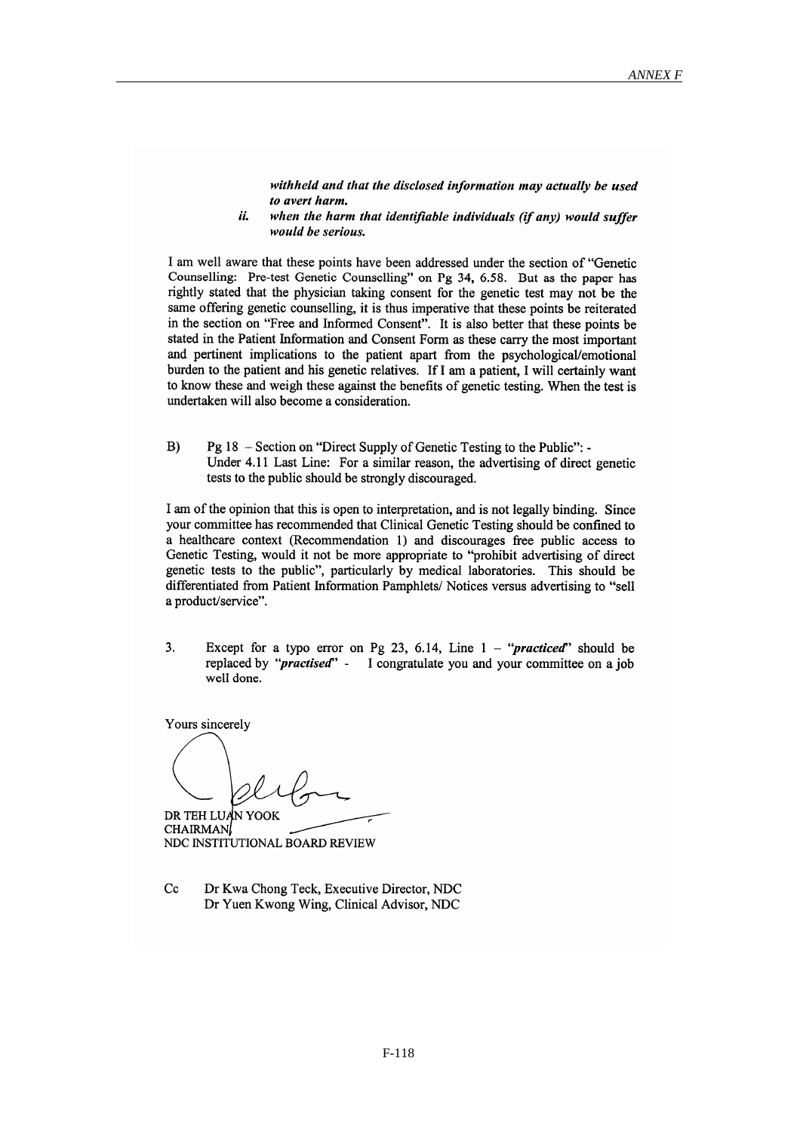withheld and that the disclosed information may actually be used to avert harm.

ii. when the harm that identifiable individuals (if any) would suffer would be serious.

I am well aware that these points have been addressed under the section of "Genetic Counselling: Pre-test Genetic Counselling" on Pg 34, 6.58. But as the paper has rightly stated that the physician taking consent for the genetic test may not be the same offering genetic counselling, it is thus imperative that these points be reiterated in the section on "Free and Informed Consent". It is also better that these points be stated in the Patient Information and Consent Form as these carry the most important and pertinent implications to the patient apart from the psychological/emotional burden to the patient and his genetic relatives. If I am a patient, I will certainly want to know these and weigh these against the benefits of genetic testing. When the test is undertaken will also become a consideration.

 $B)$ Pg 18 - Section on "Direct Supply of Genetic Testing to the Public": -Under 4.11 Last Line: For a similar reason, the advertising of direct genetic tests to the public should be strongly discouraged.

I am of the opinion that this is open to interpretation, and is not legally binding. Since your committee has recommended that Clinical Genetic Testing should be confined to a healthcare context (Recommendation 1) and discourages free public access to Genetic Testing, would it not be more appropriate to "prohibit advertising of direct genetic tests to the public", particularly by medical laboratories. This should be differentiated from Patient Information Pamphlets/Notices versus advertising to "sell a product/service".

 $\overline{3}$ . Except for a typo error on Pg 23, 6.14, Line  $1 - \text{``practical''}$  should be replaced by "*practised*" - I congratulate you and your committee on a job well done.

Yours sincerely

DR TEH LUAN YOOK **CHAIRMAN** NDC INSTITUTIONAL BOARD REVIEW

 $Cc$ Dr Kwa Chong Teck, Executive Director, NDC Dr Yuen Kwong Wing, Clinical Advisor, NDC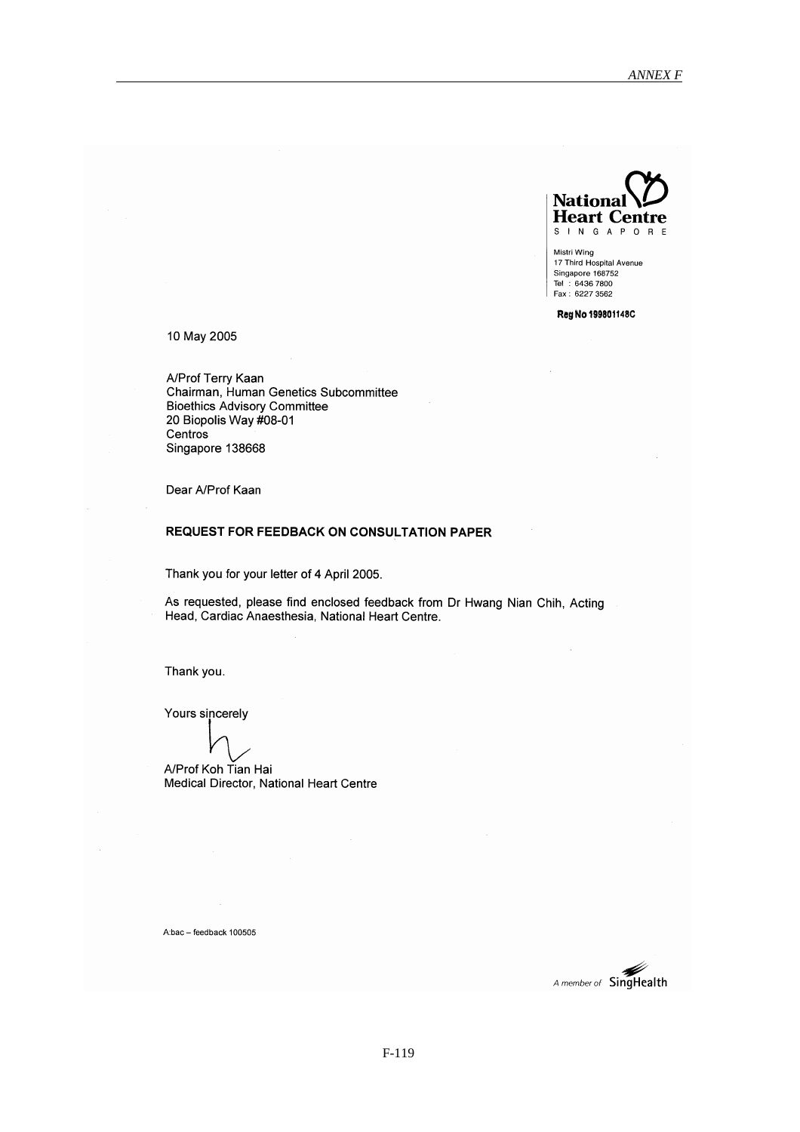

Mistri Wing<br>17 Third Hospital Avenue Singapore 168752 Tel: 6436 7800<br>Tel: 6436 7800<br>Fax: 6227 3562

Reg No 199801148C

10 May 2005

A/Prof Terry Kaan Chairman, Human Genetics Subcommittee Bioethics Advisory Committee 20 Biopolis Way #08-01 Centros Singapore 138668

Dear A/Prof Kaan

#### **REQUEST FOR FEEDBACK ON CONSULTATION PAPER**

Thank you for your letter of 4 April 2005.

As requested, please find enclosed feedback from Dr Hwang Nian Chih, Acting Head, Cardiac Anaesthesia, National Heart Centre.

Thank you.

Yours sincerely

A/Prof Koh Tian Hai Medical Director, National Heart Centre

A:bac - feedback 100505

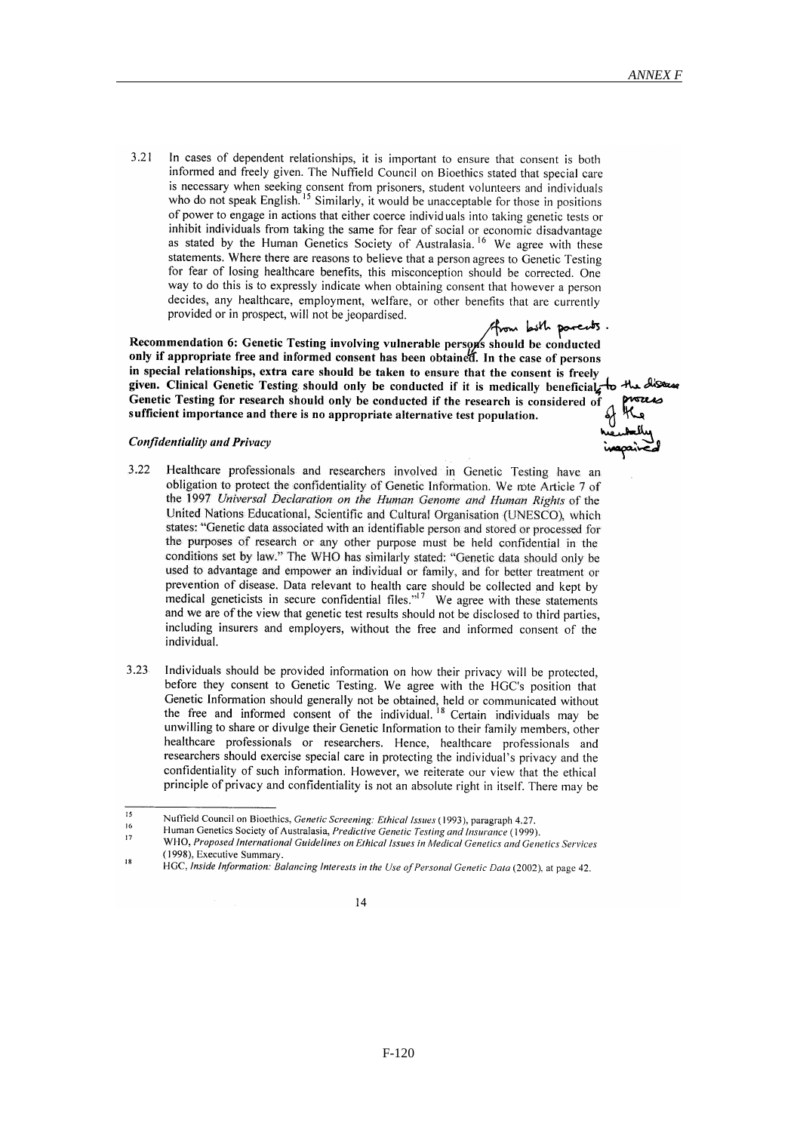$321$ In cases of dependent relationships, it is important to ensure that consent is both informed and freely given. The Nuffield Council on Bioethics stated that special care is necessary when seeking consent from prisoners, student volunteers and individuals who do not speak English.<sup>15</sup> Similarly, it would be unacceptable for those in positions of power to engage in actions that either coerce individuals into taking genetic tests or inhibit individuals from taking the same for fear of social or economic disadvantage as stated by the Human Genetics Society of Australasia.<sup>16</sup> We agree with these statements. Where there are reasons to believe that a person agrees to Genetic Testing for fear of losing healthcare benefits, this misconception should be corrected. One way to do this is to expressly indicate when obtaining consent that however a person decides, any healthcare, employment, welfare, or other benefits that are currently provided or in prospect, will not be jeopardised.

. Those who paradition 6: Genetic Testing involving vulnerable persons should be conducted<br>only if annonriate free and informed survey! only if appropriate free and informed consent has been obtained. In the case of persons in special relationships, extra care should be taken to ensure that the consent is freely given. Clinical Genetic Testing should only be conducted if it is medically beneficial Genetic Testing for research should only be conducted if the research is considered of sufficient importance and there is no appropriate alternative test population.

# to the disease

#### **Confidentiality and Privacy**

- $322$ Healthcare professionals and researchers involved in Genetic Testing have an obligation to protect the confidentiality of Genetic Information. We note Article 7 of the 1997 Universal Declaration on the Human Genome and Human Rights of the United Nations Educational, Scientific and Cultural Organisation (UNESCO), which states: "Genetic data associated with an identifiable person and stored or processed for the purposes of research or any other purpose must be held confidential in the conditions set by law." The WHO has similarly stated: "Genetic data should only be used to advantage and empower an individual or family, and for better treatment or prevention of disease. Data relevant to health care should be collected and kept by medical geneticists in secure confidential files."<sup>17</sup> We agree with these statements and we are of the view that genetic test results should not be disclosed to third parties, including insurers and employers, without the free and informed consent of the individual.
- $3.23$ Individuals should be provided information on how their privacy will be protected. before they consent to Genetic Testing. We agree with the HGC's position that Genetic Information should generally not be obtained, held or communicated without<br>the free and informed consent of the individual.<sup>18</sup> Certain individuals may be unwilling to share or divulge their Genetic Information to their family members, other healthcare professionals or researchers. Hence, healthcare professionals and researchers should exercise special care in protecting the individual's privacy and the confidentiality of such information. However, we reiterate our view that the ethical principle of privacy and confidentiality is not an absolute right in itself. There may be

HGC, Inside Information: Balancing Interests in the Use of Personal Genetic Data (2002), at page 42.



 $\overline{15}$ Nuffield Council on Bioethics, Genetic Screening: Ethical Issues (1993), paragraph 4.27.  $16$ 

Human Genetics Society of Australasia, Predictive Genetic Testing and Insurance (1999).  $17$ 

WHO, Proposed International Guidelines on Ethical Issues in Medical Genetics and Genetics Services (1998), Executive Summary. 18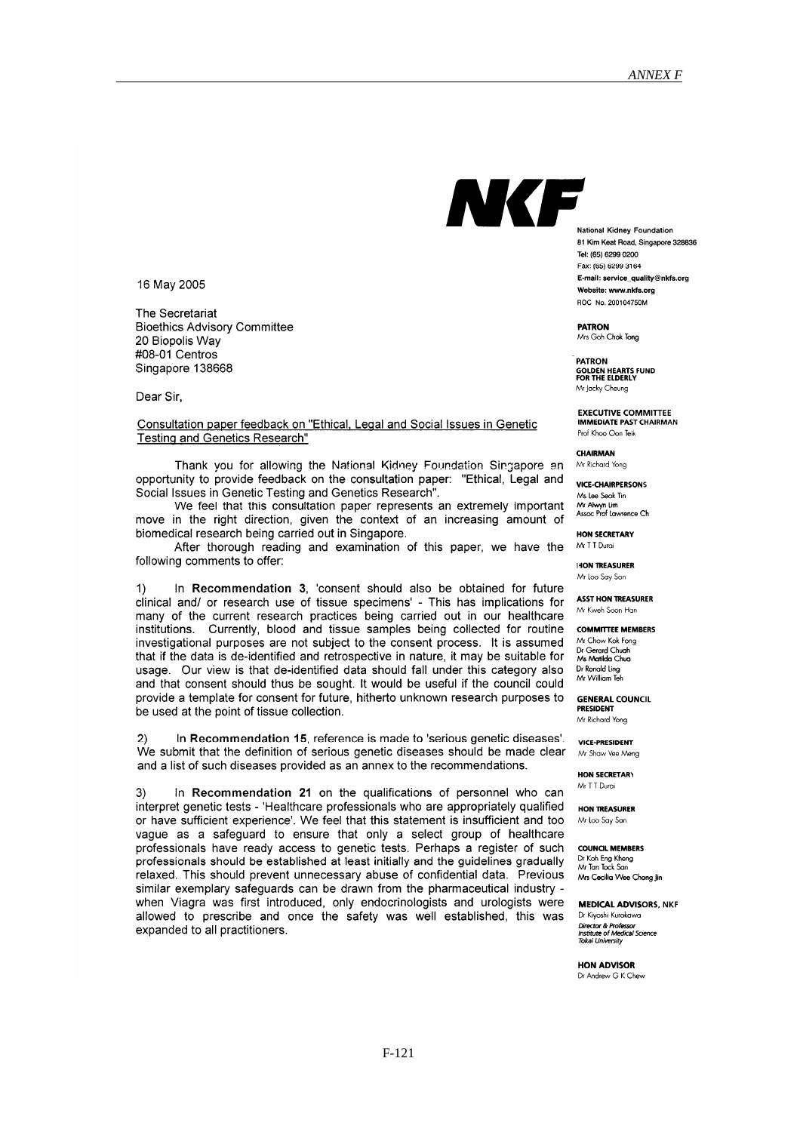NKF

16 May 2005

The Secretariat **Bioethics Advisory Committee** 20 Biopolis Wav #08-01 Centros Singapore 138668

Dear Sir.

Consultation paper feedback on "Ethical, Legal and Social Issues in Genetic Testing and Genetics Research"

Thank you for allowing the National Kidney Foundation Singapore an opportunity to provide feedback on the consultation paper: "Ethical, Legal and Social Issues in Genetic Testing and Genetics Research".

We feel that this consultation paper represents an extremely important move in the right direction, given the context of an increasing amount of biomedical research being carried out in Singapore.

After thorough reading and examination of this paper, we have the following comments to offer:

In Recommendation 3, 'consent should also be obtained for future clinical and/ or research use of tissue specimens' - This has implications for many of the current research practices being carried out in our healthcare institutions. Currently, blood and tissue samples being collected for routine investigational purposes are not subject to the consent process. It is assumed that if the data is de-identified and retrospective in nature, it may be suitable for usage. Our view is that de-identified data should fall under this category also and that consent should thus be sought. It would be useful if the council could provide a template for consent for future, hitherto unknown research purposes to be used at the point of tissue collection.

In Recommendation 15, reference is made to 'serious genetic diseases'. We submit that the definition of serious genetic diseases should be made clear and a list of such diseases provided as an annex to the recommendations.

In Recommendation 21 on the qualifications of personnel who can 3) interpret genetic tests - 'Healthcare professionals who are appropriately qualified or have sufficient experience'. We feel that this statement is insufficient and too vaque as a safequard to ensure that only a select group of healthcare professionals have ready access to genetic tests. Perhaps a register of such professionals should be established at least initially and the guidelines gradually relaxed. This should prevent unnecessary abuse of confidential data. Previous similar exemplary safeguards can be drawn from the pharmaceutical industry when Viagra was first introduced, only endocrinologists and urologists were allowed to prescribe and once the safety was well established, this was expanded to all practitioners.

National Kidney Foundation 81 Kim Keat Road, Singapore 328836 Tel: (65) 6299 0200 Fax: (65) 6299 3164 E-mail: service\_quality@nkfs.org Website: www.nkfs.org ROC No. 200104750M

**PATRON** Mrs Goh Chok Tong

**PATRON GOLDEN HEARTS FUND<br>FOR THE ELDERLY** Mr Jacky Cheung

**EXECUTIVE COMMITTEE**<br>IMMEDIATE PAST CHAIRMAN Prof Khoo Oon Teik

**CHAIRMAN** Mr Richard Yone

**VICE-CHAIRPERSONS** Ms Lee Seok Tin

Mr Alwyn Lim<br>Assoc Prof Lawrence Ch

**HON SECRETARY** Mr T T Durai

HON TREASURER Mr Loo Say San

**ASST HON TREASURER** Mr Kweh Soon Han

**COMMITTEE MEMBERS** Mr Chow Kok Fong

Dr Gerard Chuah<br>Ms Matilda Chua Dr Ronald Ling<br>Mr William Teh

**GENERAL COUNCIL PRESIDENT** Mr Richard Yong

**VICE-PRESIDENT** Mr Shaw Vee Mena

HON SECRETARY Mr T T Durai

**HON TREASURER** Mr Loo Say San

**COUNCIL MEMBERS** Dr Koh Eng Kheng<br>Mr Tan Tock San Mrs Cecilia Wee Chong Jin

**MEDICAL ADVISORS, NKF** Dr Kivoshi Kurokawa Diversion Contracts<br>Institute of Medical Science<br>Tokai University

HON ADVISOR Dr Andrew G K Chew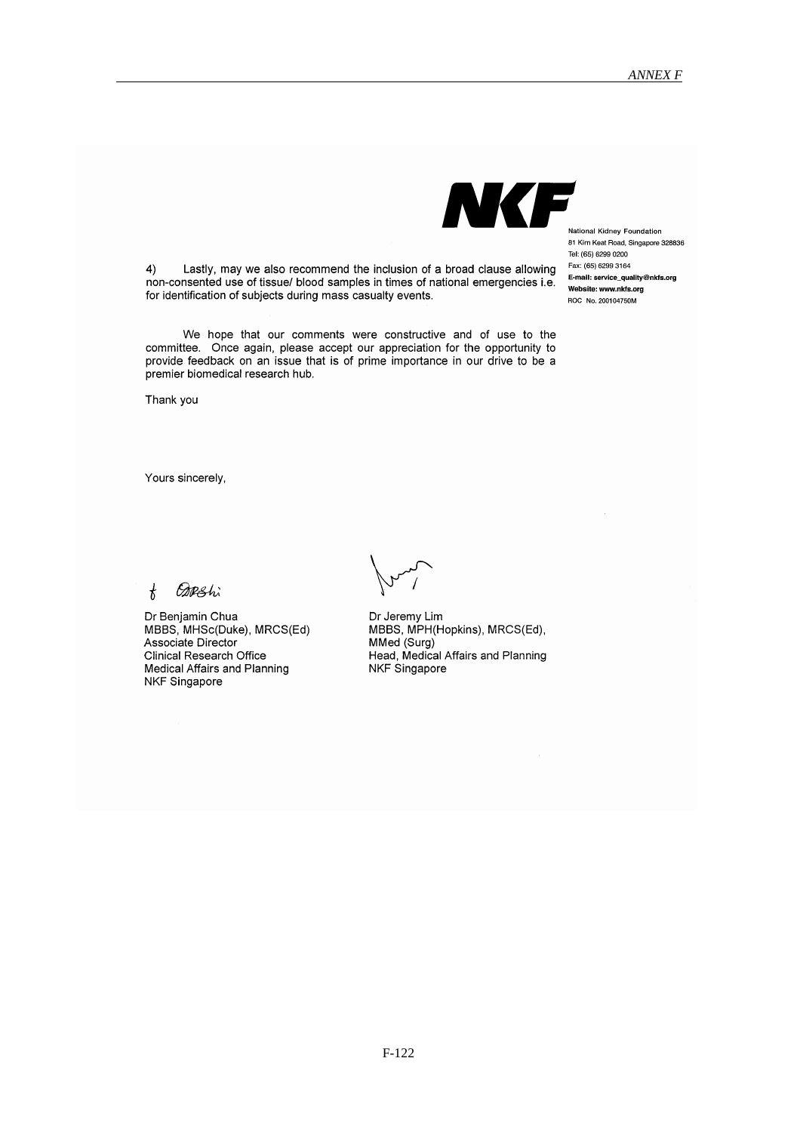$4)$ Lastly, may we also recommend the inclusion of a broad clause allowing non-consented use of tissue/ blood samples in times of national emergencies i.e. for identification of subjects during mass casualty events.

We hope that our comments were constructive and of use to the committee. Once again, please accept our appreciation for the opportunity to provide feedback on an issue that is of prime importance in our drive to be a premier biomedical research hub.

Thank you

Yours sincerely,

**ODRShi**  $\mathbf{r}$ 

Dr Benjamin Chua MBBS, MHSc(Duke), MRCS(Ed) Associate Director Clinical Research Office Medical Affairs and Planning NKF Singapore

Dr Jeremy Lim MBBS, MPH(Hopkins), MRCS(Ed), MMed (Surg) Head, Medical Affairs and Planning NKF Singapore

NKF

National Kidney Foundation 81 Kim Keat Road, Singapore 328836 Tel: (65) 6299 0200 Fax: (65) 6299 3164 E-mail: service quality@nkfs.org Website: www.nkfs.org ROC No. 200104750M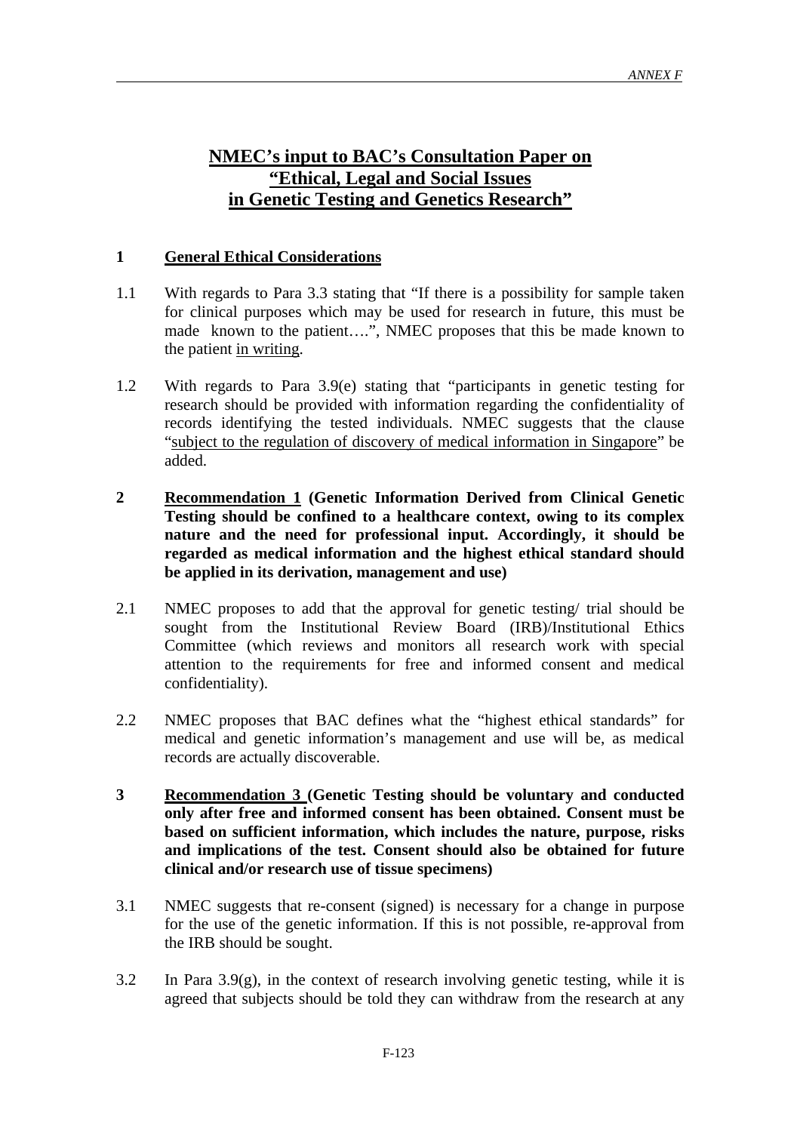### **NMEC's input to BAC's Consultation Paper on "Ethical, Legal and Social Issues in Genetic Testing and Genetics Research"**

#### **1 General Ethical Considerations**

- 1.1 With regards to Para 3.3 stating that "If there is a possibility for sample taken for clinical purposes which may be used for research in future, this must be made known to the patient….", NMEC proposes that this be made known to the patient in writing.
- 1.2 With regards to Para 3.9(e) stating that "participants in genetic testing for research should be provided with information regarding the confidentiality of records identifying the tested individuals. NMEC suggests that the clause "subject to the regulation of discovery of medical information in Singapore" be added.
- **2 Recommendation 1 (Genetic Information Derived from Clinical Genetic Testing should be confined to a healthcare context, owing to its complex nature and the need for professional input. Accordingly, it should be regarded as medical information and the highest ethical standard should be applied in its derivation, management and use)**
- 2.1 NMEC proposes to add that the approval for genetic testing/ trial should be sought from the Institutional Review Board (IRB)/Institutional Ethics Committee (which reviews and monitors all research work with special attention to the requirements for free and informed consent and medical confidentiality).
- 2.2 NMEC proposes that BAC defines what the "highest ethical standards" for medical and genetic information's management and use will be, as medical records are actually discoverable.
- **3 Recommendation 3 (Genetic Testing should be voluntary and conducted only after free and informed consent has been obtained. Consent must be based on sufficient information, which includes the nature, purpose, risks and implications of the test. Consent should also be obtained for future clinical and/or research use of tissue specimens)**
- 3.1 NMEC suggests that re-consent (signed) is necessary for a change in purpose for the use of the genetic information. If this is not possible, re-approval from the IRB should be sought.
- 3.2 In Para 3.9(g), in the context of research involving genetic testing, while it is agreed that subjects should be told they can withdraw from the research at any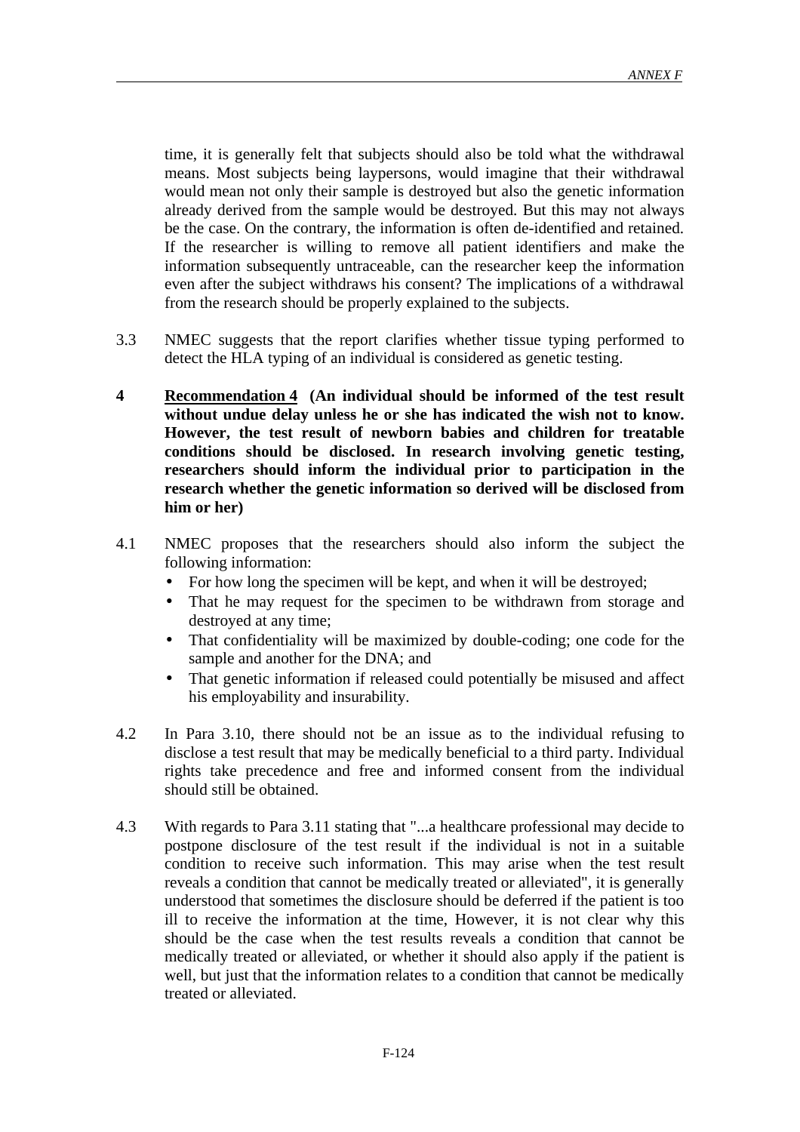time, it is generally felt that subjects should also be told what the withdrawal means. Most subjects being laypersons, would imagine that their withdrawal would mean not only their sample is destroyed but also the genetic information already derived from the sample would be destroyed. But this may not always be the case. On the contrary, the information is often de-identified and retained. If the researcher is willing to remove all patient identifiers and make the information subsequently untraceable, can the researcher keep the information even after the subject withdraws his consent? The implications of a withdrawal from the research should be properly explained to the subjects.

- 3.3 NMEC suggests that the report clarifies whether tissue typing performed to detect the HLA typing of an individual is considered as genetic testing.
- **4 Recommendation 4 (An individual should be informed of the test result without undue delay unless he or she has indicated the wish not to know. However, the test result of newborn babies and children for treatable conditions should be disclosed. In research involving genetic testing, researchers should inform the individual prior to participation in the research whether the genetic information so derived will be disclosed from him or her)**
- 4.1 NMEC proposes that the researchers should also inform the subject the following information:
	- For how long the specimen will be kept, and when it will be destroyed;
	- That he may request for the specimen to be withdrawn from storage and destroyed at any time;
	- That confidentiality will be maximized by double-coding; one code for the sample and another for the DNA; and
	- That genetic information if released could potentially be misused and affect his employability and insurability.
- 4.2 In Para 3.10, there should not be an issue as to the individual refusing to disclose a test result that may be medically beneficial to a third party. Individual rights take precedence and free and informed consent from the individual should still be obtained.
- 4.3 With regards to Para 3.11 stating that "...a healthcare professional may decide to postpone disclosure of the test result if the individual is not in a suitable condition to receive such information. This may arise when the test result reveals a condition that cannot be medically treated or alleviated", it is generally understood that sometimes the disclosure should be deferred if the patient is too ill to receive the information at the time, However, it is not clear why this should be the case when the test results reveals a condition that cannot be medically treated or alleviated, or whether it should also apply if the patient is well, but just that the information relates to a condition that cannot be medically treated or alleviated.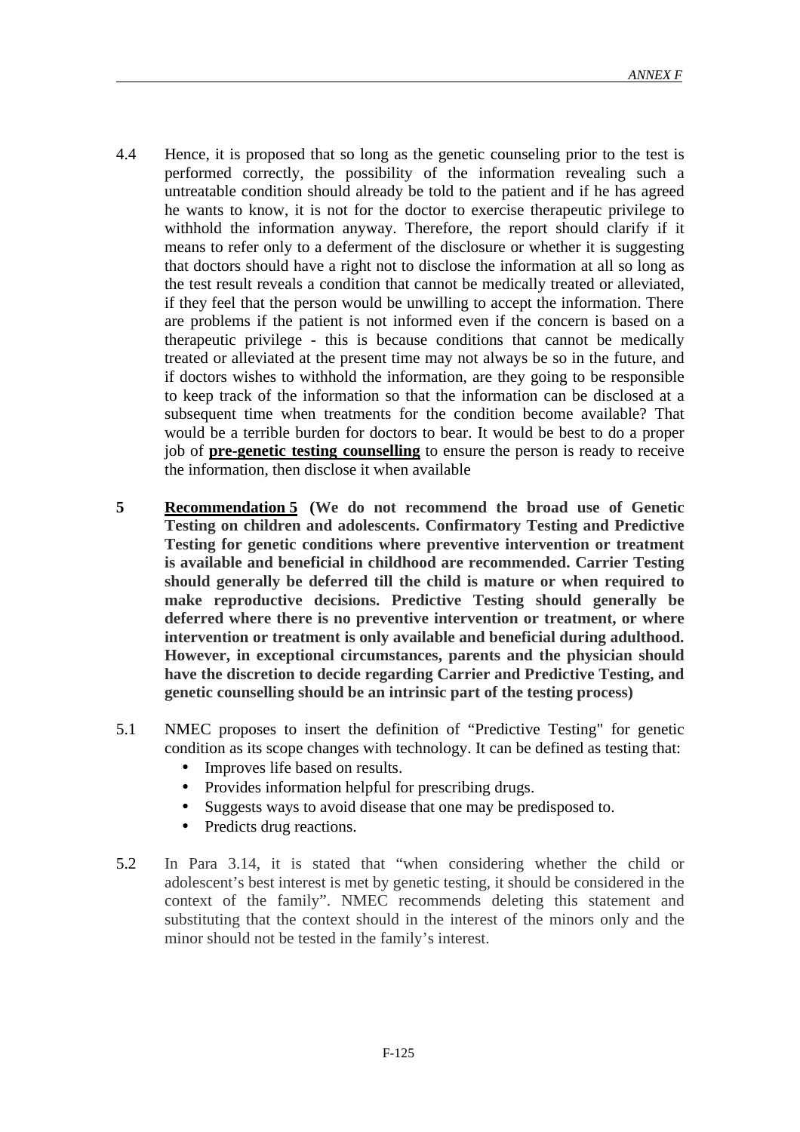- 4.4 Hence, it is proposed that so long as the genetic counseling prior to the test is performed correctly, the possibility of the information revealing such a untreatable condition should already be told to the patient and if he has agreed he wants to know, it is not for the doctor to exercise therapeutic privilege to withhold the information anyway. Therefore, the report should clarify if it means to refer only to a deferment of the disclosure or whether it is suggesting that doctors should have a right not to disclose the information at all so long as the test result reveals a condition that cannot be medically treated or alleviated, if they feel that the person would be unwilling to accept the information. There are problems if the patient is not informed even if the concern is based on a therapeutic privilege - this is because conditions that cannot be medically treated or alleviated at the present time may not always be so in the future, and if doctors wishes to withhold the information, are they going to be responsible to keep track of the information so that the information can be disclosed at a subsequent time when treatments for the condition become available? That would be a terrible burden for doctors to bear. It would be best to do a proper job of **pre-genetic testing counselling** to ensure the person is ready to receive the information, then disclose it when available
- **5 Recommendation 5 (We do not recommend the broad use of Genetic Testing on children and adolescents. Confirmatory Testing and Predictive Testing for genetic conditions where preventive intervention or treatment is available and beneficial in childhood are recommended. Carrier Testing should generally be deferred till the child is mature or when required to make reproductive decisions. Predictive Testing should generally be deferred where there is no preventive intervention or treatment, or where intervention or treatment is only available and beneficial during adulthood. However, in exceptional circumstances, parents and the physician should have the discretion to decide regarding Carrier and Predictive Testing, and genetic counselling should be an intrinsic part of the testing process)**
- 5.1 NMEC proposes to insert the definition of "Predictive Testing" for genetic condition as its scope changes with technology. It can be defined as testing that:
	- Improves life based on results.
	- Provides information helpful for prescribing drugs.
	- Suggests ways to avoid disease that one may be predisposed to.
	- Predicts drug reactions.
- 5.2 In Para 3.14, it is stated that "when considering whether the child or adolescent's best interest is met by genetic testing, it should be considered in the context of the family". NMEC recommends deleting this statement and substituting that the context should in the interest of the minors only and the minor should not be tested in the family's interest.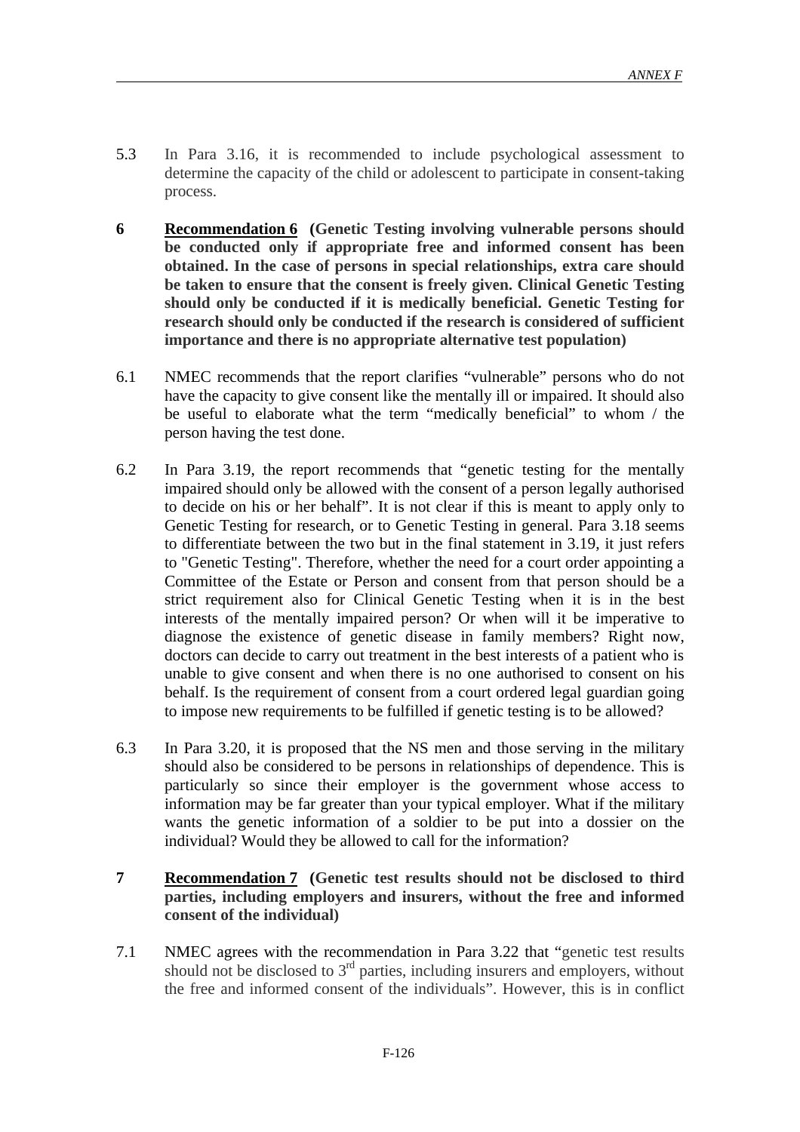- 5.3 In Para 3.16, it is recommended to include psychological assessment to determine the capacity of the child or adolescent to participate in consent-taking process.
- **6 Recommendation 6 (Genetic Testing involving vulnerable persons should be conducted only if appropriate free and informed consent has been obtained. In the case of persons in special relationships, extra care should be taken to ensure that the consent is freely given. Clinical Genetic Testing should only be conducted if it is medically beneficial. Genetic Testing for research should only be conducted if the research is considered of sufficient importance and there is no appropriate alternative test population)**
- 6.1 NMEC recommends that the report clarifies "vulnerable" persons who do not have the capacity to give consent like the mentally ill or impaired. It should also be useful to elaborate what the term "medically beneficial" to whom / the person having the test done.
- 6.2 In Para 3.19, the report recommends that "genetic testing for the mentally impaired should only be allowed with the consent of a person legally authorised to decide on his or her behalf". It is not clear if this is meant to apply only to Genetic Testing for research, or to Genetic Testing in general. Para 3.18 seems to differentiate between the two but in the final statement in 3.19, it just refers to "Genetic Testing". Therefore, whether the need for a court order appointing a Committee of the Estate or Person and consent from that person should be a strict requirement also for Clinical Genetic Testing when it is in the best interests of the mentally impaired person? Or when will it be imperative to diagnose the existence of genetic disease in family members? Right now, doctors can decide to carry out treatment in the best interests of a patient who is unable to give consent and when there is no one authorised to consent on his behalf. Is the requirement of consent from a court ordered legal guardian going to impose new requirements to be fulfilled if genetic testing is to be allowed?
- 6.3 In Para 3.20, it is proposed that the NS men and those serving in the military should also be considered to be persons in relationships of dependence. This is particularly so since their employer is the government whose access to information may be far greater than your typical employer. What if the military wants the genetic information of a soldier to be put into a dossier on the individual? Would they be allowed to call for the information?
- **7 Recommendation 7 (Genetic test results should not be disclosed to third parties, including employers and insurers, without the free and informed consent of the individual)**
- 7.1 NMEC agrees with the recommendation in Para 3.22 that "genetic test results should not be disclosed to 3<sup>rd</sup> parties, including insurers and employers, without the free and informed consent of the individuals". However, this is in conflict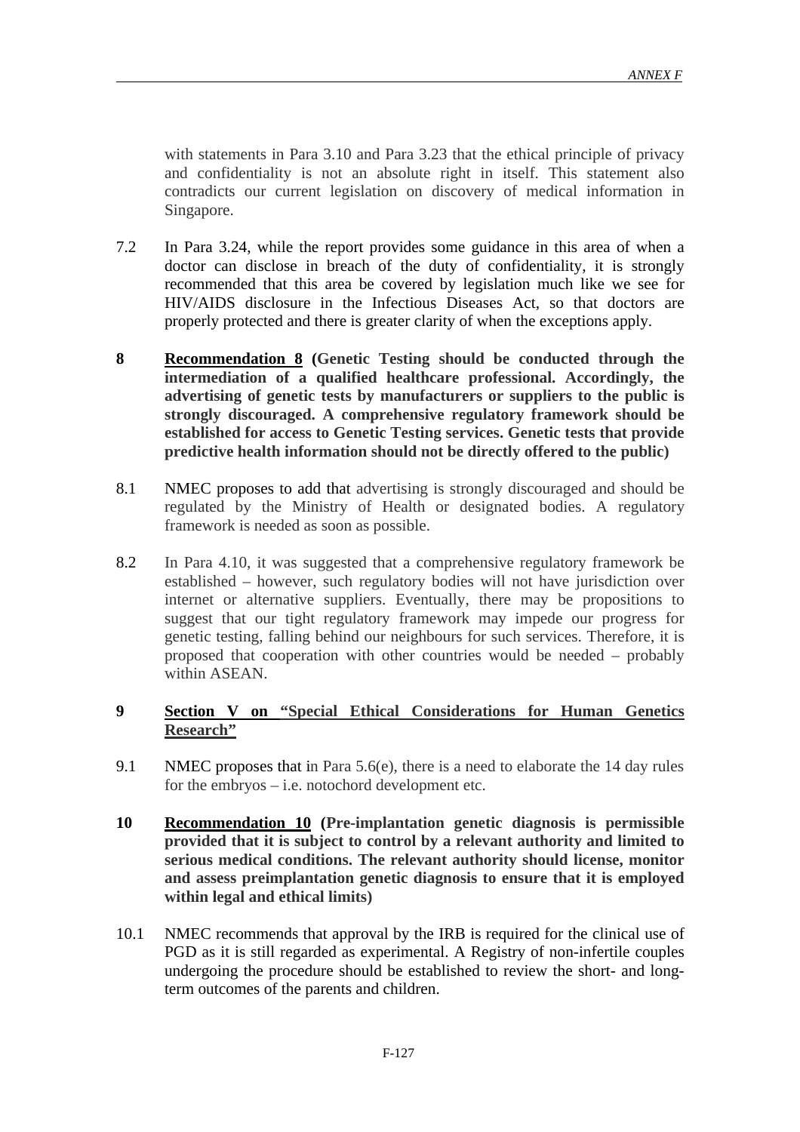with statements in Para 3.10 and Para 3.23 that the ethical principle of privacy and confidentiality is not an absolute right in itself. This statement also contradicts our current legislation on discovery of medical information in Singapore.

- 7.2 In Para 3.24, while the report provides some guidance in this area of when a doctor can disclose in breach of the duty of confidentiality, it is strongly recommended that this area be covered by legislation much like we see for HIV/AIDS disclosure in the Infectious Diseases Act, so that doctors are properly protected and there is greater clarity of when the exceptions apply.
- **8 Recommendation 8 (Genetic Testing should be conducted through the intermediation of a qualified healthcare professional. Accordingly, the advertising of genetic tests by manufacturers or suppliers to the public is strongly discouraged. A comprehensive regulatory framework should be established for access to Genetic Testing services. Genetic tests that provide predictive health information should not be directly offered to the public)**
- 8.1 NMEC proposes to add that advertising is strongly discouraged and should be regulated by the Ministry of Health or designated bodies. A regulatory framework is needed as soon as possible.
- 8.2 In Para 4.10, it was suggested that a comprehensive regulatory framework be established – however, such regulatory bodies will not have jurisdiction over internet or alternative suppliers. Eventually, there may be propositions to suggest that our tight regulatory framework may impede our progress for genetic testing, falling behind our neighbours for such services. Therefore, it is proposed that cooperation with other countries would be needed – probably within ASEAN.

#### **9 Section V on "Special Ethical Considerations for Human Genetics Research"**

- 9.1 NMEC proposes that in Para 5.6(e), there is a need to elaborate the 14 day rules for the embryos  $-$  i.e. notochord development etc.
- **10 Recommendation 10 (Pre-implantation genetic diagnosis is permissible provided that it is subject to control by a relevant authority and limited to serious medical conditions. The relevant authority should license, monitor and assess preimplantation genetic diagnosis to ensure that it is employed within legal and ethical limits)**
- 10.1 NMEC recommends that approval by the IRB is required for the clinical use of PGD as it is still regarded as experimental. A Registry of non-infertile couples undergoing the procedure should be established to review the short- and longterm outcomes of the parents and children.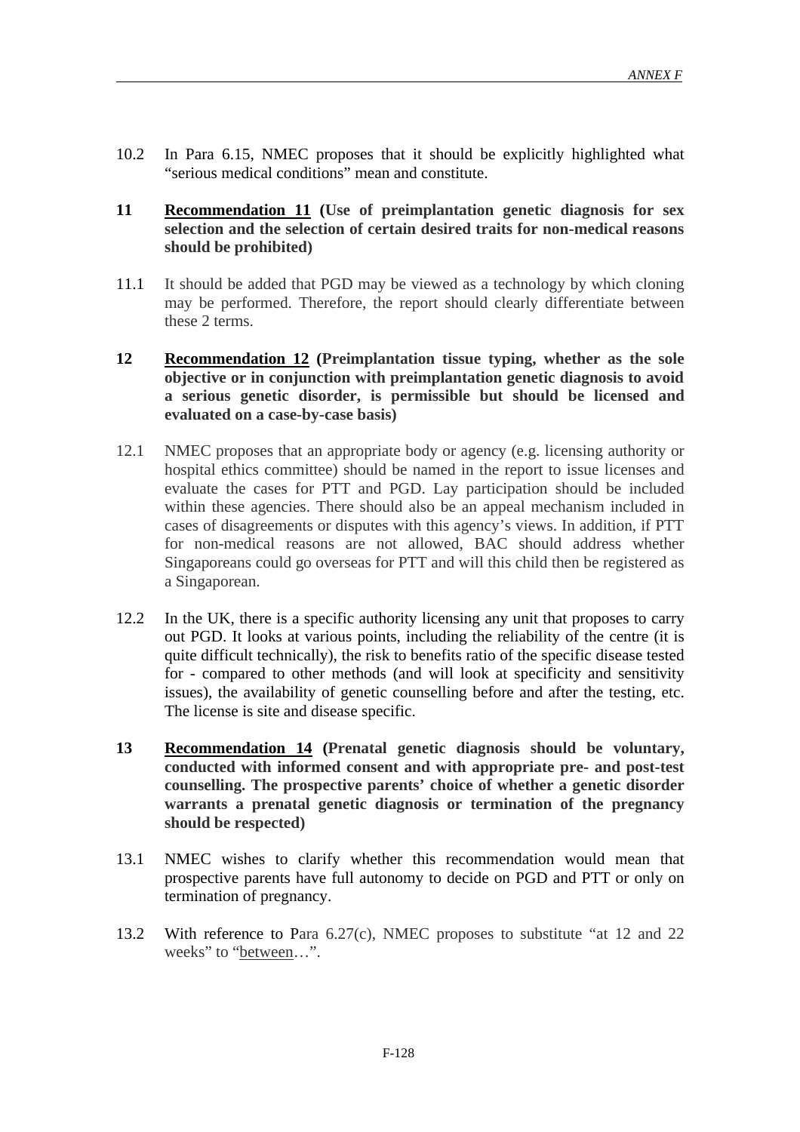- 10.2 In Para 6.15, NMEC proposes that it should be explicitly highlighted what "serious medical conditions" mean and constitute.
- **11 Recommendation 11 (Use of preimplantation genetic diagnosis for sex selection and the selection of certain desired traits for non-medical reasons should be prohibited)**
- 11.1 It should be added that PGD may be viewed as a technology by which cloning may be performed. Therefore, the report should clearly differentiate between these 2 terms.
- **12 Recommendation 12 (Preimplantation tissue typing, whether as the sole objective or in conjunction with preimplantation genetic diagnosis to avoid a serious genetic disorder, is permissible but should be licensed and evaluated on a case-by-case basis)**
- 12.1 NMEC proposes that an appropriate body or agency (e.g. licensing authority or hospital ethics committee) should be named in the report to issue licenses and evaluate the cases for PTT and PGD. Lay participation should be included within these agencies. There should also be an appeal mechanism included in cases of disagreements or disputes with this agency's views. In addition, if PTT for non-medical reasons are not allowed, BAC should address whether Singaporeans could go overseas for PTT and will this child then be registered as a Singaporean.
- 12.2 In the UK, there is a specific authority licensing any unit that proposes to carry out PGD. It looks at various points, including the reliability of the centre (it is quite difficult technically), the risk to benefits ratio of the specific disease tested for - compared to other methods (and will look at specificity and sensitivity issues), the availability of genetic counselling before and after the testing, etc. The license is site and disease specific.
- **13 Recommendation 14 (Prenatal genetic diagnosis should be voluntary, conducted with informed consent and with appropriate pre- and post-test counselling. The prospective parents' choice of whether a genetic disorder warrants a prenatal genetic diagnosis or termination of the pregnancy should be respected)**
- 13.1 NMEC wishes to clarify whether this recommendation would mean that prospective parents have full autonomy to decide on PGD and PTT or only on termination of pregnancy.
- 13.2 With reference to Para 6.27(c), NMEC proposes to substitute "at 12 and 22 weeks" to "between…".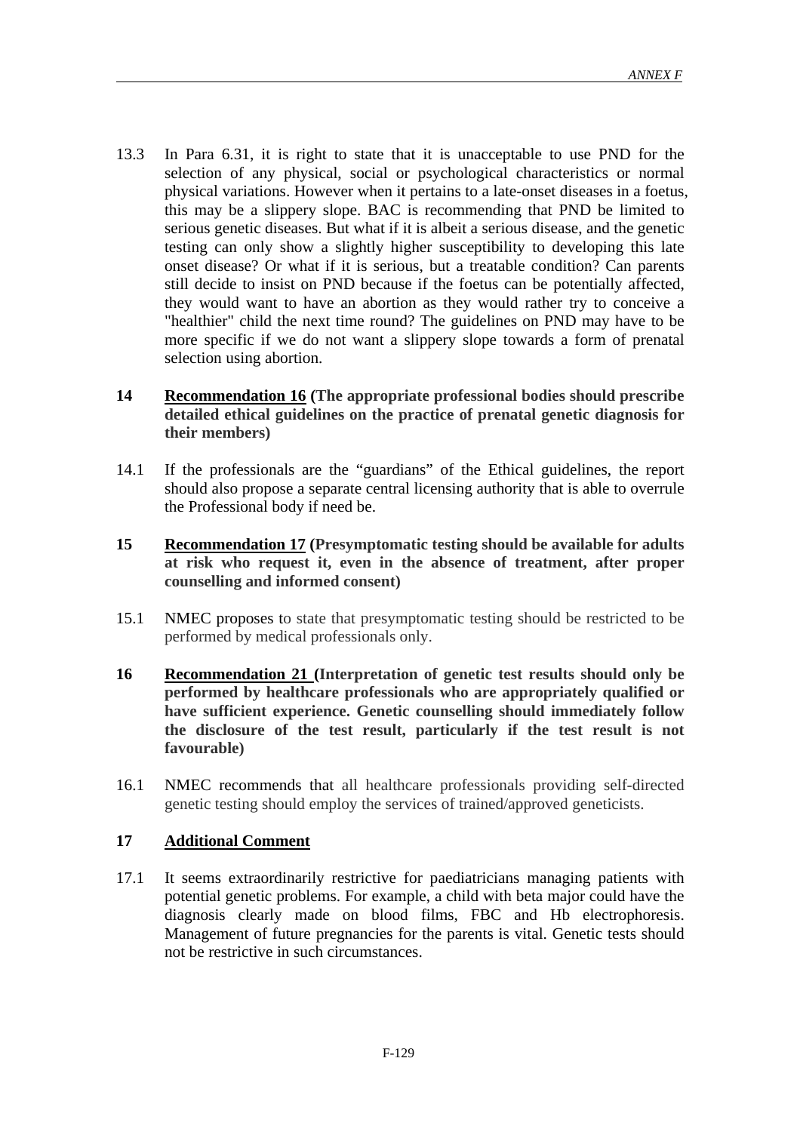- 13.3 In Para 6.31, it is right to state that it is unacceptable to use PND for the selection of any physical, social or psychological characteristics or normal physical variations. However when it pertains to a late-onset diseases in a foetus, this may be a slippery slope. BAC is recommending that PND be limited to serious genetic diseases. But what if it is albeit a serious disease, and the genetic testing can only show a slightly higher susceptibility to developing this late onset disease? Or what if it is serious, but a treatable condition? Can parents still decide to insist on PND because if the foetus can be potentially affected, they would want to have an abortion as they would rather try to conceive a "healthier" child the next time round? The guidelines on PND may have to be more specific if we do not want a slippery slope towards a form of prenatal selection using abortion.
- **14 Recommendation 16 (The appropriate professional bodies should prescribe detailed ethical guidelines on the practice of prenatal genetic diagnosis for their members)**
- 14.1 If the professionals are the "guardians" of the Ethical guidelines, the report should also propose a separate central licensing authority that is able to overrule the Professional body if need be.
- **15 Recommendation 17 (Presymptomatic testing should be available for adults at risk who request it, even in the absence of treatment, after proper counselling and informed consent)**
- 15.1 NMEC proposes to state that presymptomatic testing should be restricted to be performed by medical professionals only.
- **16 Recommendation 21 (Interpretation of genetic test results should only be performed by healthcare professionals who are appropriately qualified or have sufficient experience. Genetic counselling should immediately follow the disclosure of the test result, particularly if the test result is not favourable)**
- 16.1 NMEC recommends that all healthcare professionals providing self-directed genetic testing should employ the services of trained/approved geneticists.

#### **17 Additional Comment**

17.1 It seems extraordinarily restrictive for paediatricians managing patients with potential genetic problems. For example, a child with beta major could have the diagnosis clearly made on blood films, FBC and Hb electrophoresis. Management of future pregnancies for the parents is vital. Genetic tests should not be restrictive in such circumstances.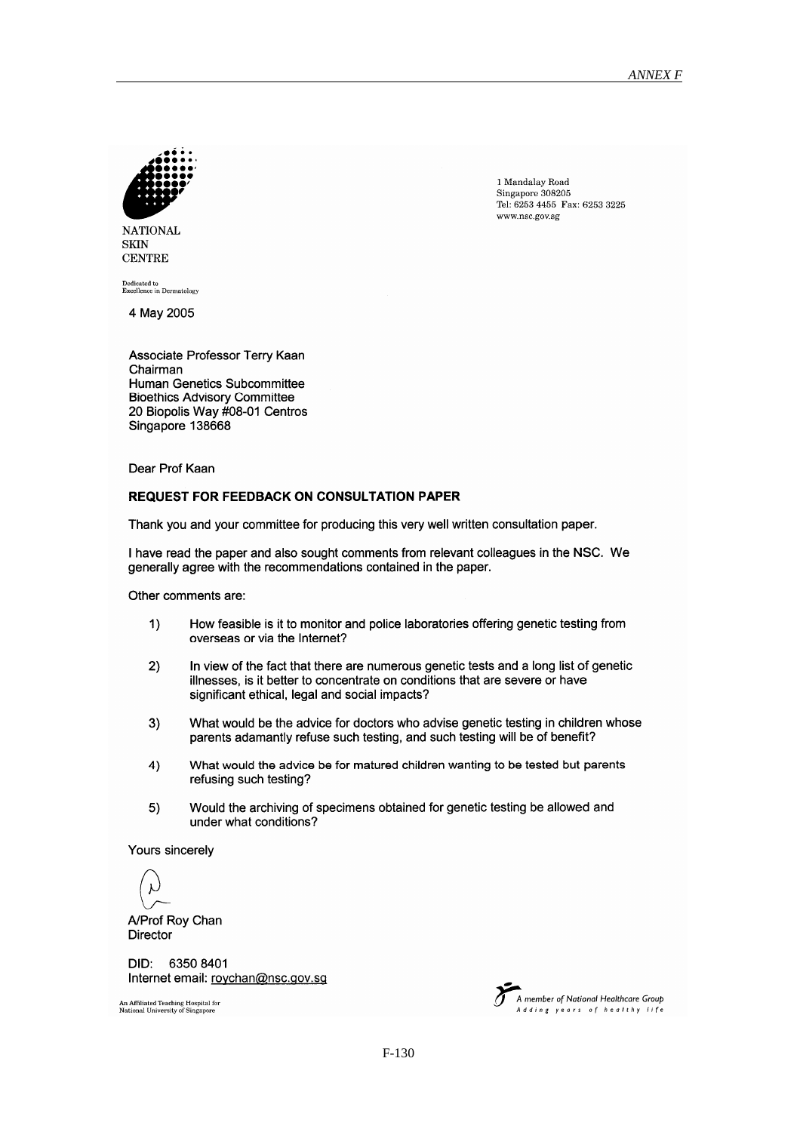

1 Mandalay Road Singapore 308205 Tel: 6253 4455 Fax: 6253 3225 www.nsc.gov.sg

**NATIONAL SKIN CENTRE** 

Dedicated to<br>Excellence in Dermatology

4 May 2005

Associate Professor Terry Kaan Chairman **Human Genetics Subcommittee Bioethics Advisory Committee** 20 Biopolis Way #08-01 Centros Singapore 138668

Dear Prof Kaan

#### **REQUEST FOR FEEDBACK ON CONSULTATION PAPER**

Thank you and your committee for producing this very well written consultation paper.

I have read the paper and also sought comments from relevant colleagues in the NSC. We generally agree with the recommendations contained in the paper.

Other comments are:

- $1)$ How feasible is it to monitor and police laboratories offering genetic testing from overseas or via the Internet?
- $2)$ In view of the fact that there are numerous genetic tests and a long list of genetic illnesses, is it better to concentrate on conditions that are severe or have significant ethical, legal and social impacts?
- $3)$ What would be the advice for doctors who advise genetic testing in children whose parents adamantly refuse such testing, and such testing will be of benefit?
- What would the advice be for matured children wanting to be tested but parents  $4)$ refusing such testing?
- Would the archiving of specimens obtained for genetic testing be allowed and  $5)$ under what conditions?

Yours sincerely

A/Prof Roy Chan Director

DID: 6350 8401 Internet email: roychan@nsc.gov.sg

An Affiliated Teaching Hospital for<br>National University of Singapore

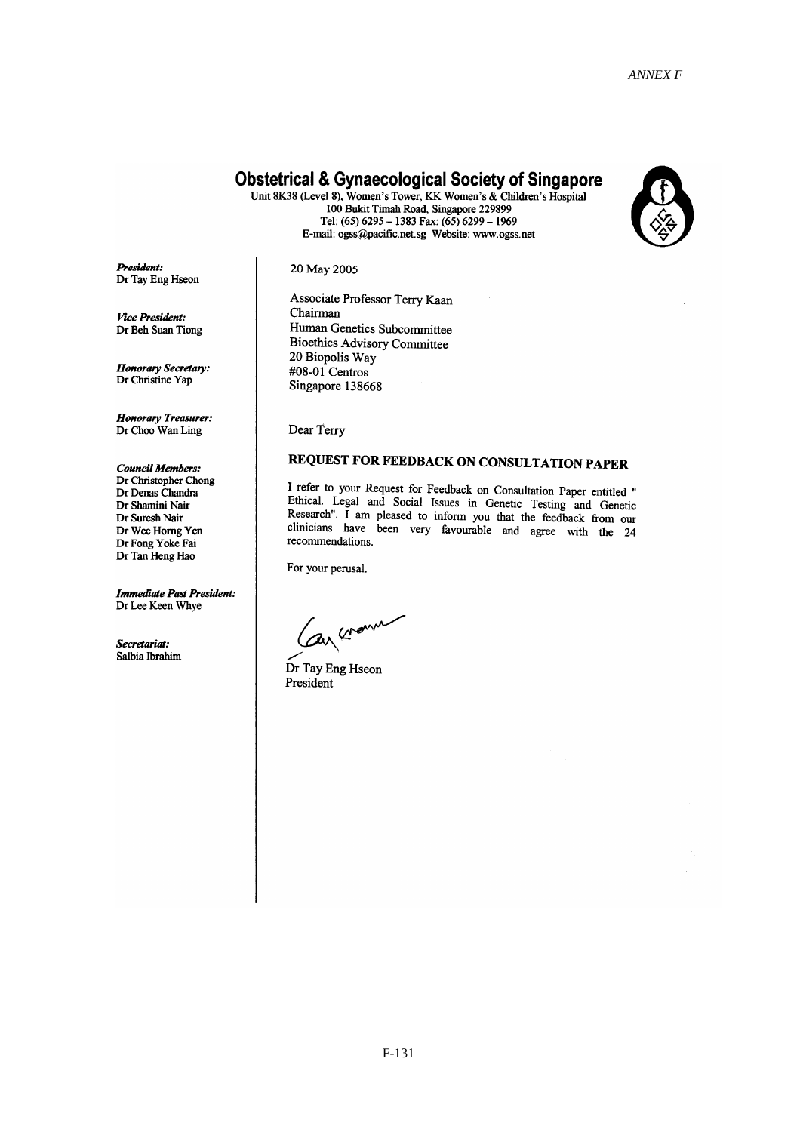#### **Obstetrical & Gynaecological Society of Singapore**

Unit 8K38 (Level 8), Women's Tower, KK Women's & Children's Hospital 100 Bukit Timah Road, Singapore 229899 Tel: (65) 6295 - 1383 Fax: (65) 6299 - 1969 E-mail: ogss@pacific.net.sg Website: www.ogss.net



President: Dr Tay Eng Hseon 20 May 2005

Associate Professor Terry Kaan Chairman Human Genetics Subcommittee **Bioethics Advisory Committee** 20 Biopolis Way #08-01 Centros Singapore 138668

Dear Terry

#### REQUEST FOR FEEDBACK ON CONSULTATION PAPER

I refer to your Request for Feedback on Consultation Paper entitled " Ethical. Legal and Social Issues in Genetic Testing and Genetic Research". I am pleased to inform you that the feedback from our clinicians have been very favourable and agree with the 24 recommendations.

For your perusal.

Can crown

Dr Tay Eng Hseon President

**Vice President:** Dr Beh Suan Tiong

**Honorary Secretary:** Dr Christine Yap

**Honorary Treasurer:** Dr Choo Wan Ling

**Council Members:** Dr Christopher Chong Dr Denas Chandra Dr Shamini Nair Dr Suresh Nair Dr Wee Horng Yen Dr Fong Yoke Fai Dr Tan Heng Hao

**Immediate Past President:** Dr Lee Keen Whye

Secretariat: Salbia Ibrahim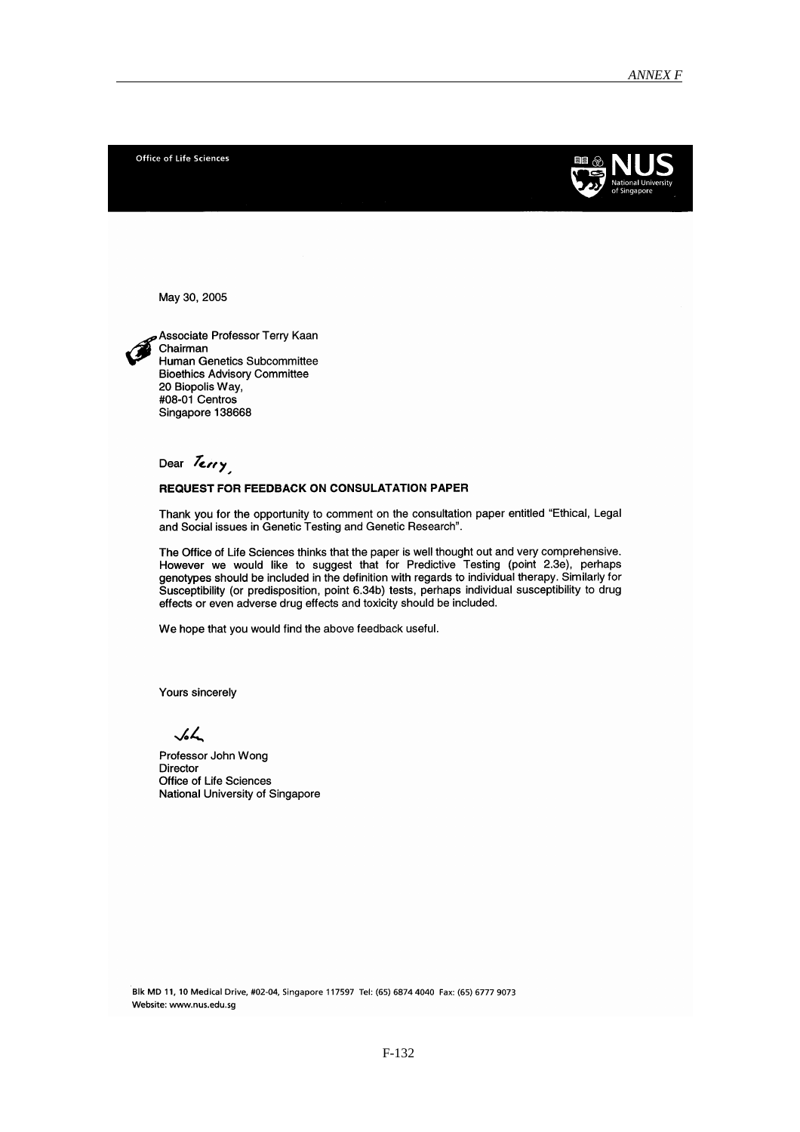Office of Life Sciences



May 30, 2005

Associate Professor Terry Kaan Chairman Human Genetics Subcommittee **Bioethics Advisory Committee** 20 Biopolis Way, #08-01 Centros Singapore 138668

Dear Terry

#### **REQUEST FOR FEEDBACK ON CONSULATATION PAPER**

Thank you for the opportunity to comment on the consultation paper entitled "Ethical, Legal and Social issues in Genetic Testing and Genetic Research".

The Office of Life Sciences thinks that the paper is well thought out and very comprehensive. However we would like to suggest that for Predictive Testing (point 2.3e), perhaps genotypes should be included in the definition with regards to individual therapy. Similarly for Susceptibility (or predisposition, point 6.34b) tests, perhaps individual susceptibility to drug effects or even adverse drug effects and toxicity should be included.

We hope that you would find the above feedback useful.

Yours sincerely

 $\sqrt{2}$ 

Professor John Wong Director Office of Life Sciences National University of Singapore

Blk MD 11, 10 Medical Drive, #02-04, Singapore 117597 Tel: (65) 6874 4040 Fax: (65) 6777 9073 Website: www.nus.edu.sg